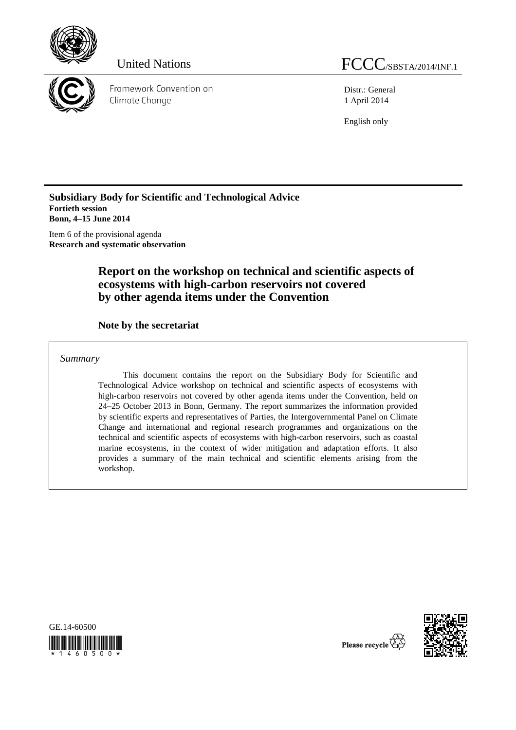



Framework Convention on Climate Change

Distr.: General 1 April 2014

English only

**Subsidiary Body for Scientific and Technological Advice Fortieth session Bonn, 4–15 June 2014** 

Item 6 of the provisional agenda **Research and systematic observation** 

# **Report on the workshop on technical and scientific aspects of ecosystems with high-carbon reservoirs not covered by other agenda items under the Convention**

## **Note by the secretariat**

*Summary* 

This document contains the report on the Subsidiary Body for Scientific and Technological Advice workshop on technical and scientific aspects of ecosystems with high-carbon reservoirs not covered by other agenda items under the Convention, held on 24–25 October 2013 in Bonn, Germany. The report summarizes the information provided by scientific experts and representatives of Parties, the Intergovernmental Panel on Climate Change and international and regional research programmes and organizations on the technical and scientific aspects of ecosystems with high-carbon reservoirs, such as coastal marine ecosystems, in the context of wider mitigation and adaptation efforts. It also provides a summary of the main technical and scientific elements arising from the workshop.





Please recycle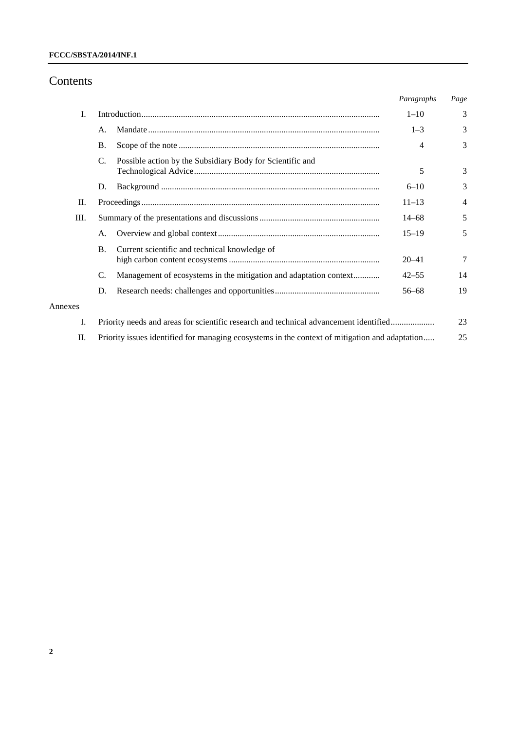# Contents

|         |                                                                                                |                                                                   | Paragraphs | Page |
|---------|------------------------------------------------------------------------------------------------|-------------------------------------------------------------------|------------|------|
| I.      |                                                                                                |                                                                   | $1 - 10$   | 3    |
|         | А.                                                                                             |                                                                   | $1 - 3$    | 3    |
|         | <b>B.</b>                                                                                      |                                                                   | 4          | 3    |
|         | C.                                                                                             | Possible action by the Subsidiary Body for Scientific and         | 5          | 3    |
|         | D.                                                                                             |                                                                   | $6 - 10$   | 3    |
| П.      |                                                                                                |                                                                   |            | 4    |
| Ш.      |                                                                                                |                                                                   | $14 - 68$  | 5    |
|         | А.                                                                                             |                                                                   | $15 - 19$  | 5    |
|         | $\mathbf{B}$ .                                                                                 | Current scientific and technical knowledge of                     | $20 - 41$  | 7    |
|         | C.                                                                                             | Management of ecosystems in the mitigation and adaptation context | $42 - 55$  | 14   |
|         | D.                                                                                             |                                                                   | $56 - 68$  | 19   |
| Annexes |                                                                                                |                                                                   |            |      |
| I.      | Priority needs and areas for scientific research and technical advancement identified          |                                                                   |            | 23   |
| П.      | Priority issues identified for managing ecosystems in the context of mitigation and adaptation |                                                                   |            | 25   |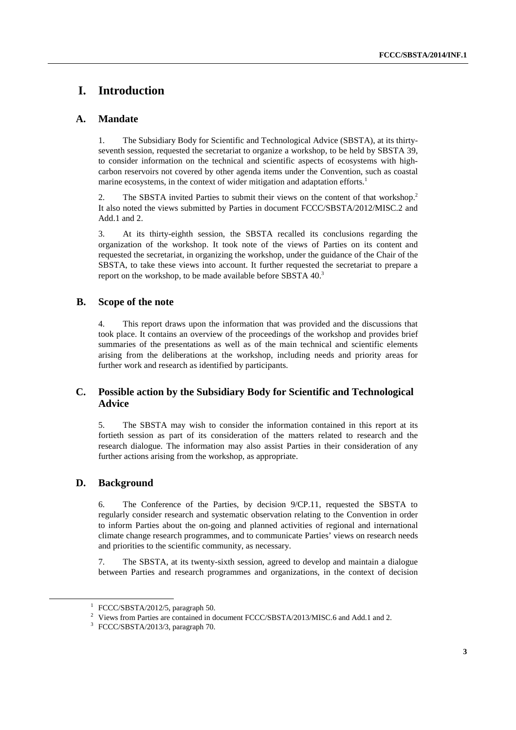# **I. Introduction**

### **A. Mandate**

1. The Subsidiary Body for Scientific and Technological Advice (SBSTA), at its thirtyseventh session, requested the secretariat to organize a workshop, to be held by SBSTA 39, to consider information on the technical and scientific aspects of ecosystems with highcarbon reservoirs not covered by other agenda items under the Convention, such as coastal marine ecosystems, in the context of wider mitigation and adaptation efforts.<sup>1</sup>

2. The SBSTA invited Parties to submit their views on the content of that workshop.2 It also noted the views submitted by Parties in document FCCC/SBSTA/2012/MISC.2 and Add.1 and 2.

3. At its thirty-eighth session, the SBSTA recalled its conclusions regarding the organization of the workshop. It took note of the views of Parties on its content and requested the secretariat, in organizing the workshop, under the guidance of the Chair of the SBSTA, to take these views into account. It further requested the secretariat to prepare a report on the workshop, to be made available before SBSTA 40.<sup>3</sup>

### **B. Scope of the note**

4. This report draws upon the information that was provided and the discussions that took place. It contains an overview of the proceedings of the workshop and provides brief summaries of the presentations as well as of the main technical and scientific elements arising from the deliberations at the workshop, including needs and priority areas for further work and research as identified by participants.

### **C. Possible action by the Subsidiary Body for Scientific and Technological Advice**

5. The SBSTA may wish to consider the information contained in this report at its fortieth session as part of its consideration of the matters related to research and the research dialogue. The information may also assist Parties in their consideration of any further actions arising from the workshop, as appropriate.

### **D. Background**

6. The Conference of the Parties, by decision 9/CP.11, requested the SBSTA to regularly consider research and systematic observation relating to the Convention in order to inform Parties about the on-going and planned activities of regional and international climate change research programmes, and to communicate Parties' views on research needs and priorities to the scientific community, as necessary.

7. The SBSTA, at its twenty-sixth session, agreed to develop and maintain a dialogue between Parties and research programmes and organizations, in the context of decision

<sup>&</sup>lt;u>1</u>  $\frac{1}{1}$  FCCC/SBSTA/2012/5, paragraph 50.

<sup>&</sup>lt;sup>2</sup> Views from Parties are contained in document FCCC/SBSTA/2013/MISC.6 and Add.1 and 2.

<sup>3</sup> FCCC/SBSTA/2013/3, paragraph 70.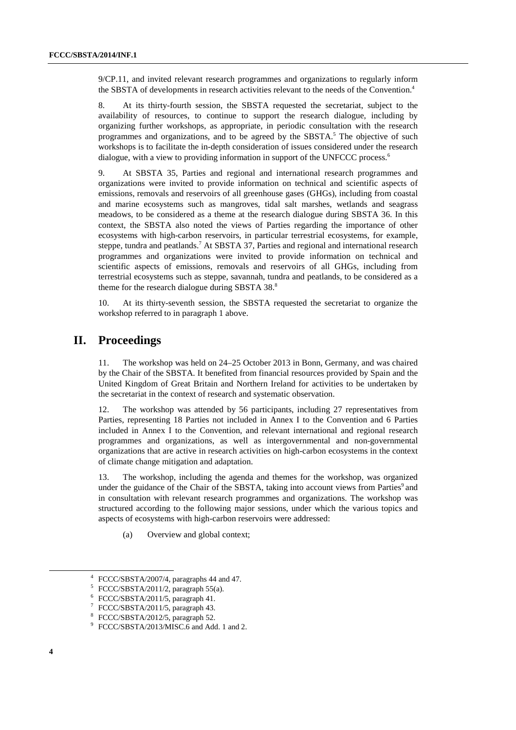9/CP.11, and invited relevant research programmes and organizations to regularly inform the SBSTA of developments in research activities relevant to the needs of the Convention.<sup>4</sup>

8. At its thirty-fourth session, the SBSTA requested the secretariat, subject to the availability of resources, to continue to support the research dialogue, including by organizing further workshops, as appropriate, in periodic consultation with the research programmes and organizations, and to be agreed by the SBSTA.<sup>5</sup> The objective of such workshops is to facilitate the in-depth consideration of issues considered under the research dialogue, with a view to providing information in support of the UNFCCC process.<sup>6</sup>

9. At SBSTA 35, Parties and regional and international research programmes and organizations were invited to provide information on technical and scientific aspects of emissions, removals and reservoirs of all greenhouse gases (GHGs), including from coastal and marine ecosystems such as mangroves, tidal salt marshes, wetlands and seagrass meadows, to be considered as a theme at the research dialogue during SBSTA 36. In this context, the SBSTA also noted the views of Parties regarding the importance of other ecosystems with high-carbon reservoirs, in particular terrestrial ecosystems, for example, steppe, tundra and peatlands.<sup>7</sup> At SBSTA 37, Parties and regional and international research programmes and organizations were invited to provide information on technical and scientific aspects of emissions, removals and reservoirs of all GHGs, including from terrestrial ecosystems such as steppe, savannah, tundra and peatlands, to be considered as a theme for the research dialogue during SBSTA 38.<sup>8</sup>

10. At its thirty-seventh session, the SBSTA requested the secretariat to organize the workshop referred to in paragraph 1 above.

# **II. Proceedings**

The workshop was held on  $24-25$  October 2013 in Bonn, Germany, and was chaired by the Chair of the SBSTA. It benefited from financial resources provided by Spain and the United Kingdom of Great Britain and Northern Ireland for activities to be undertaken by the secretariat in the context of research and systematic observation.

12. The workshop was attended by 56 participants, including 27 representatives from Parties, representing 18 Parties not included in Annex I to the Convention and 6 Parties included in Annex I to the Convention, and relevant international and regional research programmes and organizations, as well as intergovernmental and non-governmental organizations that are active in research activities on high-carbon ecosystems in the context of climate change mitigation and adaptation.

13. The workshop, including the agenda and themes for the workshop, was organized under the guidance of the Chair of the SBSTA, taking into account views from Parties<sup>9</sup> and in consultation with relevant research programmes and organizations. The workshop was structured according to the following major sessions, under which the various topics and aspects of ecosystems with high-carbon reservoirs were addressed:

(a) Overview and global context;

 <sup>4</sup> FCCC/SBSTA/2007/4, paragraphs 44 and 47.

<sup>5</sup> FCCC/SBSTA/2011/2, paragraph 55(a).

<sup>6</sup> FCCC/SBSTA/2011/5, paragraph 41.

<sup>7</sup> FCCC/SBSTA/2011/5, paragraph 43.

<sup>8</sup> FCCC/SBSTA/2012/5, paragraph 52.

<sup>9</sup> FCCC/SBSTA/2013/MISC.6 and Add. 1 and 2.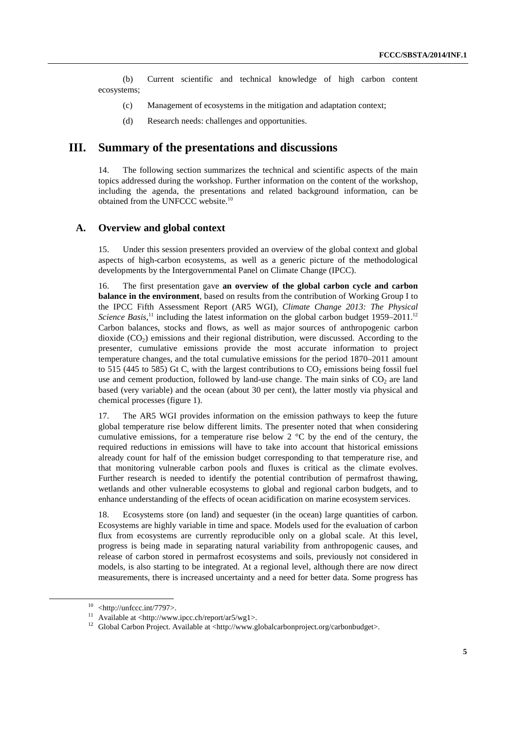(b) Current scientific and technical knowledge of high carbon content ecosystems;

- (c) Management of ecosystems in the mitigation and adaptation context;
- (d) Research needs: challenges and opportunities.

## **III. Summary of the presentations and discussions**

14. The following section summarizes the technical and scientific aspects of the main topics addressed during the workshop. Further information on the content of the workshop, including the agenda, the presentations and related background information, can be obtained from the UNFCCC website.10

#### **A. Overview and global context**

15. Under this session presenters provided an overview of the global context and global aspects of high-carbon ecosystems, as well as a generic picture of the methodological developments by the Intergovernmental Panel on Climate Change (IPCC).

16. The first presentation gave **an overview of the global carbon cycle and carbon balance in the environment**, based on results from the contribution of Working Group I to the IPCC Fifth Assessment Report (AR5 WGI), *Climate Change 2013: The Physical*  Science Basis,<sup>11</sup> including the latest information on the global carbon budget 1959–2011.<sup>12</sup> Carbon balances, stocks and flows, as well as major sources of anthropogenic carbon dioxide  $(CO<sub>2</sub>)$  emissions and their regional distribution, were discussed. According to the presenter, cumulative emissions provide the most accurate information to project temperature changes, and the total cumulative emissions for the period 1870–2011 amount to 515 (445 to 585) Gt C, with the largest contributions to  $CO<sub>2</sub>$  emissions being fossil fuel use and cement production, followed by land-use change. The main sinks of  $CO<sub>2</sub>$  are land based (very variable) and the ocean (about 30 per cent), the latter mostly via physical and chemical processes (figure 1).

17. The AR5 WGI provides information on the emission pathways to keep the future global temperature rise below different limits. The presenter noted that when considering cumulative emissions, for a temperature rise below  $2 \degree C$  by the end of the century, the required reductions in emissions will have to take into account that historical emissions already count for half of the emission budget corresponding to that temperature rise, and that monitoring vulnerable carbon pools and fluxes is critical as the climate evolves. Further research is needed to identify the potential contribution of permafrost thawing, wetlands and other vulnerable ecosystems to global and regional carbon budgets, and to enhance understanding of the effects of ocean acidification on marine ecosystem services.

18. Ecosystems store (on land) and sequester (in the ocean) large quantities of carbon. Ecosystems are highly variable in time and space. Models used for the evaluation of carbon flux from ecosystems are currently reproducible only on a global scale. At this level, progress is being made in separating natural variability from anthropogenic causes, and release of carbon stored in permafrost ecosystems and soils, previously not considered in models, is also starting to be integrated. At a regional level, although there are now direct measurements, there is increased uncertainty and a need for better data. Some progress has

 $10$  <http://unfccc.int/7797>.

<sup>11</sup> Available at <http://www.ipcc.ch/report/ar5/wg1>.

<sup>&</sup>lt;sup>12</sup> Global Carbon Project. Available at <http://www.globalcarbonproject.org/carbonbudget>.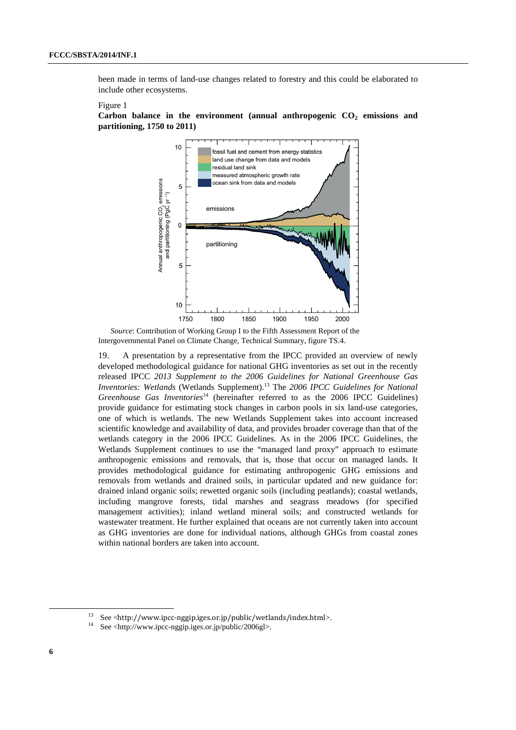been made in terms of land-use changes related to forestry and this could be elaborated to include other ecosystems.

#### Figure 1



Carbon balance in the environment (annual anthropogenic CO<sub>2</sub> emissions and **partitioning, 1750 to 2011)**

*Source*: Contribution of Working Group I to the Fifth Assessment Report of the Intergovernmental Panel on Climate Change, Technical Summary, figure TS.4.

19. A presentation by a representative from the IPCC provided an overview of newly developed methodological guidance for national GHG inventories as set out in the recently released IPCC *2013 Supplement to the 2006 Guidelines for National Greenhouse Gas Inventories: Wetlands* (Wetlands Supplement).13 The *2006 IPCC Guidelines for National Greenhouse Gas Inventories*<sup>14</sup> (hereinafter referred to as the 2006 IPCC Guidelines) provide guidance for estimating stock changes in carbon pools in six land-use categories, one of which is wetlands. The new Wetlands Supplement takes into account increased scientific knowledge and availability of data, and provides broader coverage than that of the wetlands category in the 2006 IPCC Guidelines. As in the 2006 IPCC Guidelines, the Wetlands Supplement continues to use the "managed land proxy" approach to estimate anthropogenic emissions and removals, that is, those that occur on managed lands. It provides methodological guidance for estimating anthropogenic GHG emissions and removals from wetlands and drained soils, in particular updated and new guidance for: drained inland organic soils; rewetted organic soils (including peatlands); coastal wetlands, including mangrove forests, tidal marshes and seagrass meadows (for specified management activities); inland wetland mineral soils; and constructed wetlands for wastewater treatment. He further explained that oceans are not currently taken into account as GHG inventories are done for individual nations, although GHGs from coastal zones within national borders are taken into account.

See <http://www.ipcc-nggip.iges.or.jp/public/wetlands/index.html>. See <http://www.ipcc-nggip.iges.or.jp/public/2006gl>.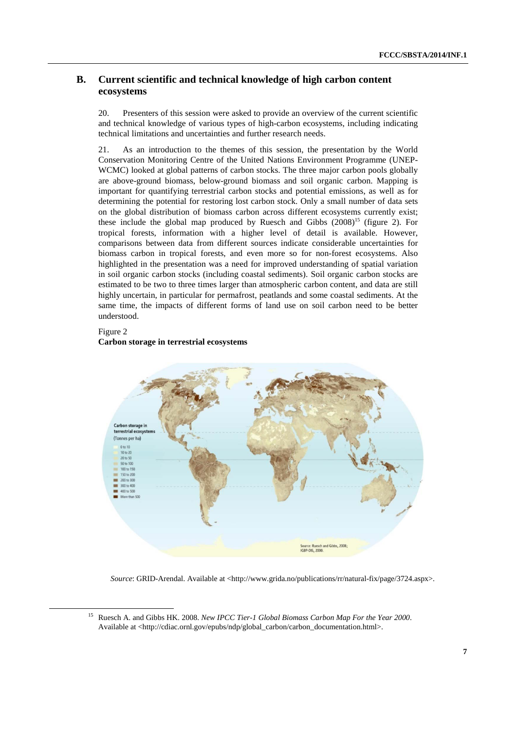### **B. Current scientific and technical knowledge of high carbon content ecosystems**

20. Presenters of this session were asked to provide an overview of the current scientific and technical knowledge of various types of high-carbon ecosystems, including indicating technical limitations and uncertainties and further research needs.

21. As an introduction to the themes of this session, the presentation by the World Conservation Monitoring Centre of the United Nations Environment Programme (UNEP-WCMC) looked at global patterns of carbon stocks. The three major carbon pools globally are above-ground biomass, below-ground biomass and soil organic carbon. Mapping is important for quantifying terrestrial carbon stocks and potential emissions, as well as for determining the potential for restoring lost carbon stock. Only a small number of data sets on the global distribution of biomass carbon across different ecosystems currently exist; these include the global map produced by Ruesch and Gibbs  $(2008)^{15}$  (figure 2). For tropical forests, information with a higher level of detail is available. However, comparisons between data from different sources indicate considerable uncertainties for biomass carbon in tropical forests, and even more so for non-forest ecosystems. Also highlighted in the presentation was a need for improved understanding of spatial variation in soil organic carbon stocks (including coastal sediments). Soil organic carbon stocks are estimated to be two to three times larger than atmospheric carbon content, and data are still highly uncertain, in particular for permafrost, peatlands and some coastal sediments. At the same time, the impacts of different forms of land use on soil carbon need to be better understood.

#### Figure 2

#### **Carbon storage in terrestrial ecosystems**



*Source*: GRID-Arendal. Available at <http://www.grida.no/publications/rr/natural-fix/page/3724.aspx>.

 <sup>15</sup> Ruesch A. and Gibbs HK. 2008. *New IPCC Tier-1 Global Biomass Carbon Map For the Year 2000*. Available at <http://cdiac.ornl.gov/epubs/ndp/global\_carbon/carbon\_documentation.html>.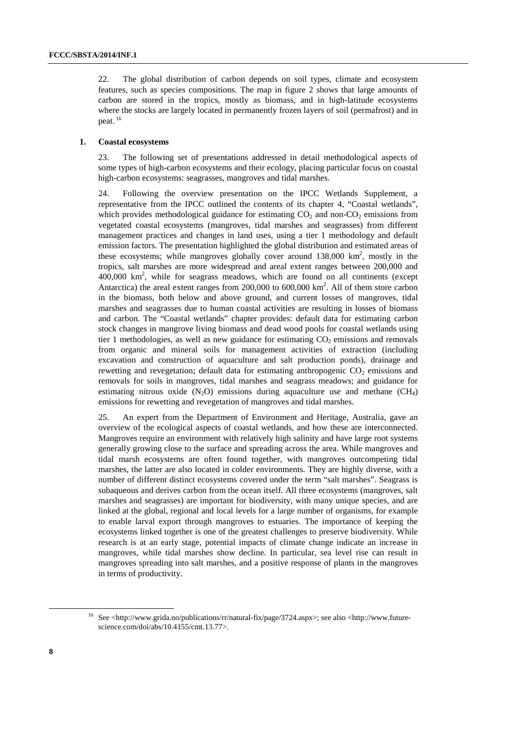22. The global distribution of carbon depends on soil types, climate and ecosystem features, such as species compositions. The map in figure 2 shows that large amounts of carbon are stored in the tropics, mostly as biomass, and in high-latitude ecosystems where the stocks are largely located in permanently frozen layers of soil (permafrost) and in peat. 16

#### **1. Coastal ecosystems**

23. The following set of presentations addressed in detail methodological aspects of some types of high-carbon ecosystems and their ecology, placing particular focus on coastal high-carbon ecosystems: seagrasses, mangroves and tidal marshes.

24. Following the overview presentation on the IPCC Wetlands Supplement, a representative from the IPCC outlined the contents of its chapter 4, "Coastal wetlands", which provides methodological guidance for estimating  $CO<sub>2</sub>$  and non- $CO<sub>2</sub>$  emissions from vegetated coastal ecosystems (mangroves, tidal marshes and seagrasses) from different management practices and changes in land uses, using a tier 1 methodology and default emission factors. The presentation highlighted the global distribution and estimated areas of these ecosystems; while mangroves globally cover around  $138,000 \text{ km}^2$ , mostly in the tropics, salt marshes are more widespread and areal extent ranges between 200,000 and  $400,000$  km<sup>2</sup>, while for seagrass meadows, which are found on all continents (except Antarctica) the areal extent ranges from  $200,000$  to  $600,000$  km<sup>2</sup>. All of them store carbon in the biomass, both below and above ground, and current losses of mangroves, tidal marshes and seagrasses due to human coastal activities are resulting in losses of biomass and carbon. The "Coastal wetlands" chapter provides: default data for estimating carbon stock changes in mangrove living biomass and dead wood pools for coastal wetlands using tier 1 methodologies, as well as new guidance for estimating  $CO<sub>2</sub>$  emissions and removals from organic and mineral soils for management activities of extraction (including excavation and construction of aquaculture and salt production ponds), drainage and rewetting and revegetation; default data for estimating anthropogenic  $CO<sub>2</sub>$  emissions and removals for soils in mangroves, tidal marshes and seagrass meadows; and guidance for estimating nitrous oxide  $(N_2O)$  emissions during aquaculture use and methane  $(CH_4)$ emissions for rewetting and revegetation of mangroves and tidal marshes.

25. An expert from the Department of Environment and Heritage, Australia, gave an overview of the ecological aspects of coastal wetlands, and how these are interconnected. Mangroves require an environment with relatively high salinity and have large root systems generally growing close to the surface and spreading across the area. While mangroves and tidal marsh ecosystems are often found together, with mangroves outcompeting tidal marshes, the latter are also located in colder environments. They are highly diverse, with a number of different distinct ecosystems covered under the term "salt marshes". Seagrass is subaqueous and derives carbon from the ocean itself. All three ecosystems (mangroves, salt marshes and seagrasses) are important for biodiversity, with many unique species, and are linked at the global, regional and local levels for a large number of organisms, for example to enable larval export through mangroves to estuaries. The importance of keeping the ecosystems linked together is one of the greatest challenges to preserve biodiversity. While research is at an early stage, potential impacts of climate change indicate an increase in mangroves, while tidal marshes show decline. In particular, sea level rise can result in mangroves spreading into salt marshes, and a positive response of plants in the mangroves in terms of productivity.

 <sup>16</sup> See <http://www.grida.no/publications/rr/natural-fix/page/3724.aspx>; see also <http://www.futurescience.com/doi/abs/10.4155/cmt.13.77>.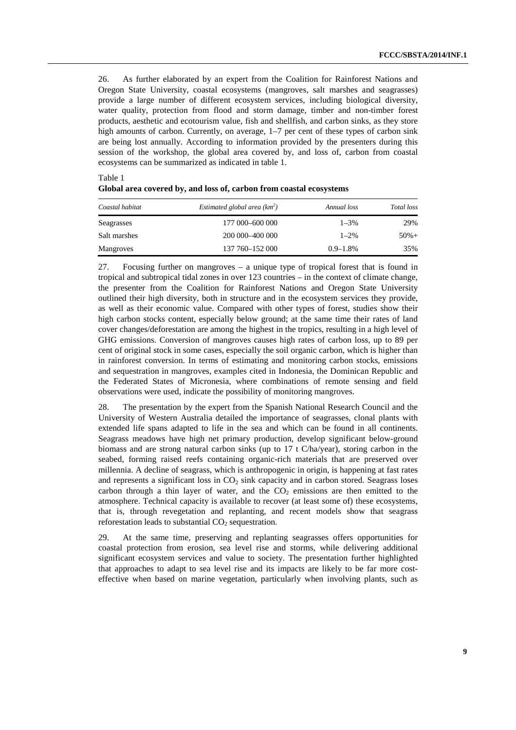26. As further elaborated by an expert from the Coalition for Rainforest Nations and Oregon State University, coastal ecosystems (mangroves, salt marshes and seagrasses) provide a large number of different ecosystem services, including biological diversity, water quality, protection from flood and storm damage, timber and non-timber forest products, aesthetic and ecotourism value, fish and shellfish, and carbon sinks, as they store high amounts of carbon. Currently, on average, 1–7 per cent of these types of carbon sink are being lost annually. According to information provided by the presenters during this session of the workshop, the global area covered by, and loss of, carbon from coastal ecosystems can be summarized as indicated in table 1.

Table 1

| Coastal habitat | Estimated global area $(km^2)$ | Annual loss   | Total loss |
|-----------------|--------------------------------|---------------|------------|
| Seagrasses      | 177 000 - 600 000              | $1 - 3\%$     | 29%        |
| Salt marshes    | 200 000 - 400 000              | $1 - 2\%$     | $50%+$     |
| Mangroves       | 137 760 - 152 000              | $0.9 - 1.8\%$ | 35%        |

| Global area covered by, and loss of, carbon from coastal ecosystems |  |  |  |
|---------------------------------------------------------------------|--|--|--|
|---------------------------------------------------------------------|--|--|--|

27. Focusing further on mangroves – a unique type of tropical forest that is found in tropical and subtropical tidal zones in over 123 countries – in the context of climate change, the presenter from the Coalition for Rainforest Nations and Oregon State University outlined their high diversity, both in structure and in the ecosystem services they provide, as well as their economic value. Compared with other types of forest, studies show their high carbon stocks content, especially below ground; at the same time their rates of land cover changes/deforestation are among the highest in the tropics, resulting in a high level of GHG emissions. Conversion of mangroves causes high rates of carbon loss, up to 89 per cent of original stock in some cases, especially the soil organic carbon, which is higher than in rainforest conversion. In terms of estimating and monitoring carbon stocks, emissions and sequestration in mangroves, examples cited in Indonesia, the Dominican Republic and the Federated States of Micronesia, where combinations of remote sensing and field observations were used, indicate the possibility of monitoring mangroves.

28. The presentation by the expert from the Spanish National Research Council and the University of Western Australia detailed the importance of seagrasses, clonal plants with extended life spans adapted to life in the sea and which can be found in all continents. Seagrass meadows have high net primary production, develop significant below-ground biomass and are strong natural carbon sinks (up to 17 t C/ha/year), storing carbon in the seabed, forming raised reefs containing organic-rich materials that are preserved over millennia. A decline of seagrass, which is anthropogenic in origin, is happening at fast rates and represents a significant loss in  $CO<sub>2</sub>$  sink capacity and in carbon stored. Seagrass loses carbon through a thin layer of water, and the  $CO<sub>2</sub>$  emissions are then emitted to the atmosphere. Technical capacity is available to recover (at least some of) these ecosystems, that is, through revegetation and replanting, and recent models show that seagrass reforestation leads to substantial  $CO<sub>2</sub>$  sequestration.

29. At the same time, preserving and replanting seagrasses offers opportunities for coastal protection from erosion, sea level rise and storms, while delivering additional significant ecosystem services and value to society. The presentation further highlighted that approaches to adapt to sea level rise and its impacts are likely to be far more costeffective when based on marine vegetation, particularly when involving plants, such as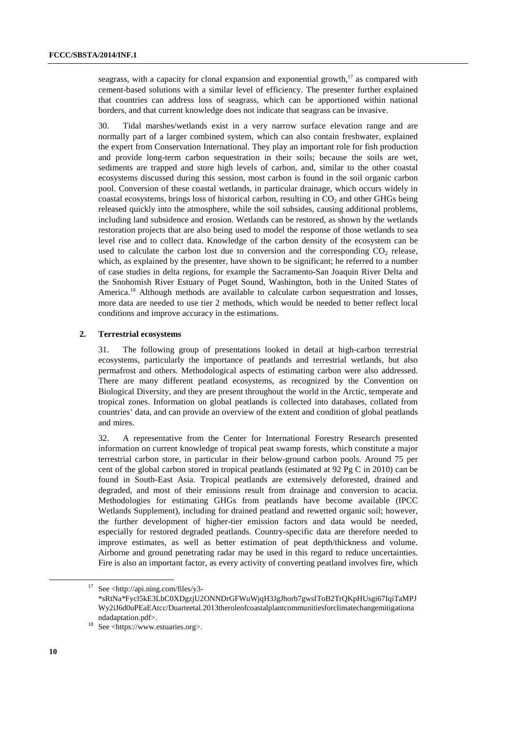seagrass, with a capacity for clonal expansion and exponential growth, $17$  as compared with cement-based solutions with a similar level of efficiency. The presenter further explained that countries can address loss of seagrass, which can be apportioned within national borders, and that current knowledge does not indicate that seagrass can be invasive.

30. Tidal marshes/wetlands exist in a very narrow surface elevation range and are normally part of a larger combined system, which can also contain freshwater, explained the expert from Conservation International. They play an important role for fish production and provide long-term carbon sequestration in their soils; because the soils are wet, sediments are trapped and store high levels of carbon, and, similar to the other coastal ecosystems discussed during this session, most carbon is found in the soil organic carbon pool. Conversion of these coastal wetlands, in particular drainage, which occurs widely in coastal ecosystems, brings loss of historical carbon, resulting in  $CO<sub>2</sub>$  and other GHGs being released quickly into the atmosphere, while the soil subsides, causing additional problems, including land subsidence and erosion. Wetlands can be restored, as shown by the wetlands restoration projects that are also being used to model the response of those wetlands to sea level rise and to collect data. Knowledge of the carbon density of the ecosystem can be used to calculate the carbon lost due to conversion and the corresponding  $CO<sub>2</sub>$  release, which, as explained by the presenter, have shown to be significant; he referred to a number of case studies in delta regions, for example the Sacramento-San Joaquin River Delta and the Snohomish River Estuary of Puget Sound, Washington, both in the United States of America.<sup>18</sup> Although methods are available to calculate carbon sequestration and losses, more data are needed to use tier 2 methods, which would be needed to better reflect local conditions and improve accuracy in the estimations.

#### **2. Terrestrial ecosystems**

31. The following group of presentations looked in detail at high-carbon terrestrial ecosystems, particularly the importance of peatlands and terrestrial wetlands, but also permafrost and others. Methodological aspects of estimating carbon were also addressed. There are many different peatland ecosystems, as recognized by the Convention on Biological Diversity, and they are present throughout the world in the Arctic, temperate and tropical zones. Information on global peatlands is collected into databases, collated from countries' data, and can provide an overview of the extent and condition of global peatlands and mires.

32. A representative from the Center for International Forestry Research presented information on current knowledge of tropical peat swamp forests, which constitute a major terrestrial carbon store, in particular in their below-ground carbon pools. Around 75 per cent of the global carbon stored in tropical peatlands (estimated at 92 Pg C in 2010) can be found in South-East Asia. Tropical peatlands are extensively deforested, drained and degraded, and most of their emissions result from drainage and conversion to acacia. Methodologies for estimating GHGs from peatlands have become available (IPCC Wetlands Supplement), including for drained peatland and rewetted organic soil; however, the further development of higher-tier emission factors and data would be needed, especially for restored degraded peatlands. Country-specific data are therefore needed to improve estimates, as well as better estimation of peat depth/thickness and volume. Airborne and ground penetrating radar may be used in this regard to reduce uncertainties. Fire is also an important factor, as every activity of converting peatland involves fire, which

See  $\langle$ http://api.ning.com/files/y3-\*sRtNa\*Fycl5kE3LbC0XDgzjU2ONNDrGFWuWjqH3JgJhorb7gwsIToB2TrQKpHUsgi67IqiTaMPJ Wy2iJ6d0uPEaEAtcc/Duarteetal.2013theroleofcoastalplantcommunitiesforclimatechangemitigationa ndadaptation.pdf>.<br><sup>18</sup> See <https://www.estuaries.org>.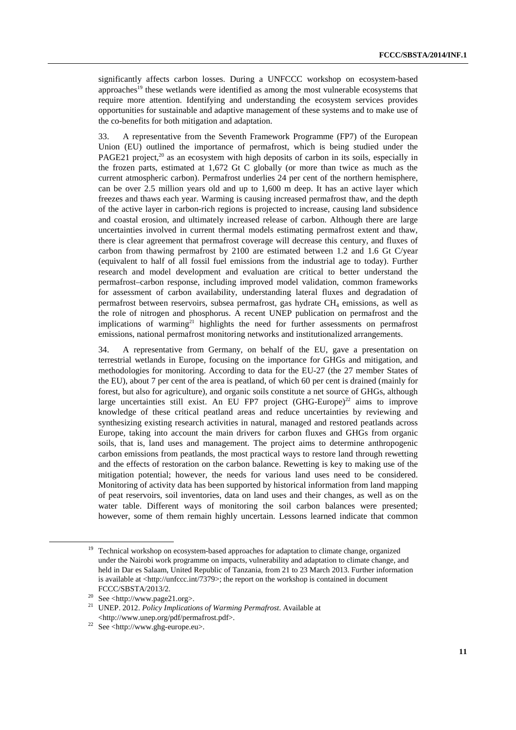significantly affects carbon losses. During a UNFCCC workshop on ecosystem-based approaches<sup>19</sup> these wetlands were identified as among the most vulnerable ecosystems that require more attention. Identifying and understanding the ecosystem services provides opportunities for sustainable and adaptive management of these systems and to make use of the co-benefits for both mitigation and adaptation.

33. A representative from the Seventh Framework Programme (FP7) of the European Union (EU) outlined the importance of permafrost, which is being studied under the PAGE21 project.<sup>20</sup> as an ecosystem with high deposits of carbon in its soils, especially in the frozen parts, estimated at 1,672 Gt C globally (or more than twice as much as the current atmospheric carbon). Permafrost underlies 24 per cent of the northern hemisphere, can be over 2.5 million years old and up to 1,600 m deep. It has an active layer which freezes and thaws each year. Warming is causing increased permafrost thaw, and the depth of the active layer in carbon-rich regions is projected to increase, causing land subsidence and coastal erosion, and ultimately increased release of carbon. Although there are large uncertainties involved in current thermal models estimating permafrost extent and thaw, there is clear agreement that permafrost coverage will decrease this century, and fluxes of carbon from thawing permafrost by 2100 are estimated between 1.2 and 1.6 Gt C/year (equivalent to half of all fossil fuel emissions from the industrial age to today). Further research and model development and evaluation are critical to better understand the permafrost–carbon response, including improved model validation, common frameworks for assessment of carbon availability, understanding lateral fluxes and degradation of permafrost between reservoirs, subsea permafrost, gas hydrate  $CH<sub>4</sub>$  emissions, as well as the role of nitrogen and phosphorus. A recent UNEP publication on permafrost and the implications of warming<sup>21</sup> highlights the need for further assessments on permafrost emissions, national permafrost monitoring networks and institutionalized arrangements.

34. A representative from Germany, on behalf of the EU, gave a presentation on terrestrial wetlands in Europe, focusing on the importance for GHGs and mitigation, and methodologies for monitoring. According to data for the EU-27 (the 27 member States of the EU), about 7 per cent of the area is peatland, of which 60 per cent is drained (mainly for forest, but also for agriculture), and organic soils constitute a net source of GHGs, although large uncertainties still exist. An EU FP7 project  $(GHG-Europe)^{22}$  aims to improve knowledge of these critical peatland areas and reduce uncertainties by reviewing and synthesizing existing research activities in natural, managed and restored peatlands across Europe, taking into account the main drivers for carbon fluxes and GHGs from organic soils, that is, land uses and management. The project aims to determine anthropogenic carbon emissions from peatlands, the most practical ways to restore land through rewetting and the effects of restoration on the carbon balance. Rewetting is key to making use of the mitigation potential; however, the needs for various land uses need to be considered. Monitoring of activity data has been supported by historical information from land mapping of peat reservoirs, soil inventories, data on land uses and their changes, as well as on the water table. Different ways of monitoring the soil carbon balances were presented; however, some of them remain highly uncertain. Lessons learned indicate that common

<sup>&</sup>lt;sup>19</sup> Technical workshop on ecosystem-based approaches for adaptation to climate change, organized under the Nairobi work programme on impacts, vulnerability and adaptation to climate change, and held in Dar es Salaam, United Republic of Tanzania, from 21 to 23 March 2013. Further information is available at <http://unfccc.int/7379>; the report on the workshop is contained in document

FCCC/SBSTA/2013/2.<br>
<sup>20</sup> See <http://www.page21.org>.<br>
<sup>21</sup> UNED 2012 *Prima limitaria* 

UNEP. 2012. *Policy Implications of Warming Permafrost*. Available at <br>  $\lt$ http://www.unep.org/pdf/permafrost.pdf>.

 $22$  See <http://www.ghg-europe.eu>.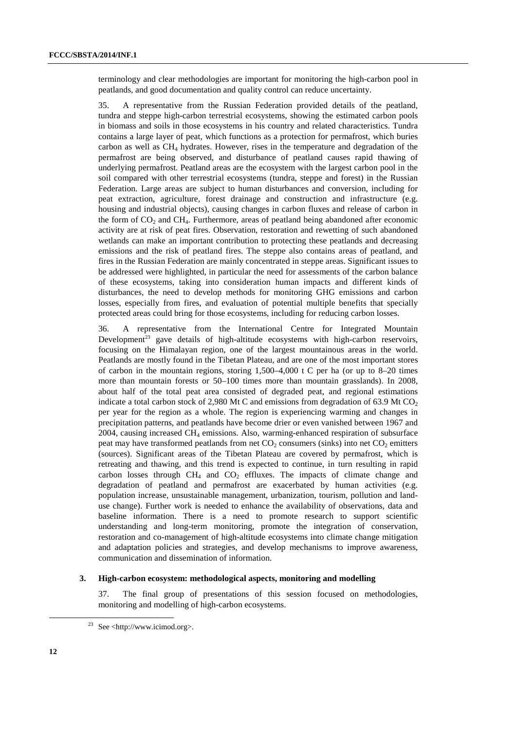terminology and clear methodologies are important for monitoring the high-carbon pool in peatlands, and good documentation and quality control can reduce uncertainty.

35. A representative from the Russian Federation provided details of the peatland, tundra and steppe high-carbon terrestrial ecosystems, showing the estimated carbon pools in biomass and soils in those ecosystems in his country and related characteristics. Tundra contains a large layer of peat, which functions as a protection for permafrost, which buries carbon as well as  $CH<sub>4</sub>$  hydrates. However, rises in the temperature and degradation of the permafrost are being observed, and disturbance of peatland causes rapid thawing of underlying permafrost. Peatland areas are the ecosystem with the largest carbon pool in the soil compared with other terrestrial ecosystems (tundra, steppe and forest) in the Russian Federation. Large areas are subject to human disturbances and conversion, including for peat extraction, agriculture, forest drainage and construction and infrastructure (e.g. housing and industrial objects), causing changes in carbon fluxes and release of carbon in the form of  $CO<sub>2</sub>$  and  $CH<sub>4</sub>$ . Furthermore, areas of peatland being abandoned after economic activity are at risk of peat fires. Observation, restoration and rewetting of such abandoned wetlands can make an important contribution to protecting these peatlands and decreasing emissions and the risk of peatland fires. The steppe also contains areas of peatland, and fires in the Russian Federation are mainly concentrated in steppe areas. Significant issues to be addressed were highlighted, in particular the need for assessments of the carbon balance of these ecosystems, taking into consideration human impacts and different kinds of disturbances, the need to develop methods for monitoring GHG emissions and carbon losses, especially from fires, and evaluation of potential multiple benefits that specially protected areas could bring for those ecosystems, including for reducing carbon losses.

36. A representative from the International Centre for Integrated Mountain Development<sup>23</sup> gave details of high-altitude ecosystems with high-carbon reservoirs, focusing on the Himalayan region, one of the largest mountainous areas in the world. Peatlands are mostly found in the Tibetan Plateau, and are one of the most important stores of carbon in the mountain regions, storing  $1,500-4,000$  t C per ha (or up to 8–20 times more than mountain forests or 50–100 times more than mountain grasslands). In 2008, about half of the total peat area consisted of degraded peat, and regional estimations indicate a total carbon stock of 2,980 Mt C and emissions from degradation of 63.9 Mt  $CO<sub>2</sub>$ per year for the region as a whole. The region is experiencing warming and changes in precipitation patterns, and peatlands have become drier or even vanished between 1967 and 2004, causing increased  $CH_4$  emissions. Also, warming-enhanced respiration of subsurface peat may have transformed peatlands from net  $CO_2$  consumers (sinks) into net  $CO_2$  emitters (sources). Significant areas of the Tibetan Plateau are covered by permafrost, which is retreating and thawing, and this trend is expected to continue, in turn resulting in rapid carbon losses through  $CH_4$  and  $CO_2$  effluxes. The impacts of climate change and degradation of peatland and permafrost are exacerbated by human activities (e.g. population increase, unsustainable management, urbanization, tourism, pollution and landuse change). Further work is needed to enhance the availability of observations, data and baseline information. There is a need to promote research to support scientific understanding and long-term monitoring, promote the integration of conservation, restoration and co-management of high-altitude ecosystems into climate change mitigation and adaptation policies and strategies, and develop mechanisms to improve awareness, communication and dissemination of information.

#### **3. High-carbon ecosystem: methodological aspects, monitoring and modelling**

37. The final group of presentations of this session focused on methodologies, monitoring and modelling of high-carbon ecosystems.

 <sup>23</sup> See <http://www.icimod.org>.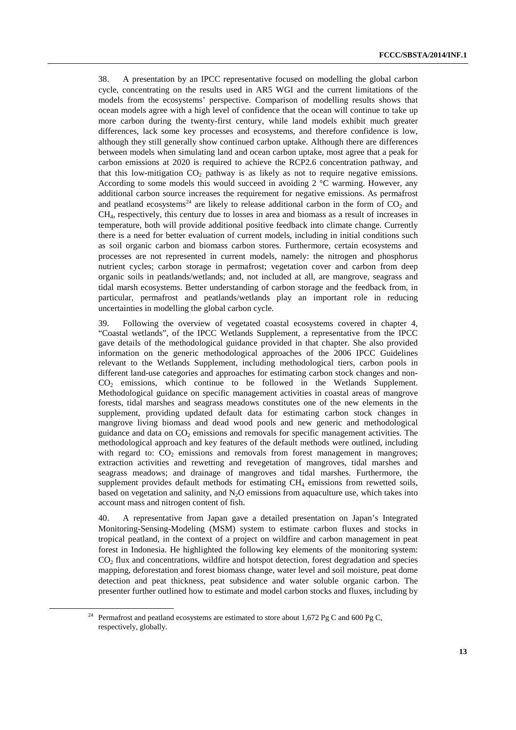38. A presentation by an IPCC representative focused on modelling the global carbon cycle, concentrating on the results used in AR5 WGI and the current limitations of the models from the ecosystems' perspective. Comparison of modelling results shows that ocean models agree with a high level of confidence that the ocean will continue to take up more carbon during the twenty-first century, while land models exhibit much greater differences, lack some key processes and ecosystems, and therefore confidence is low, although they still generally show continued carbon uptake. Although there are differences between models when simulating land and ocean carbon uptake, most agree that a peak for carbon emissions at 2020 is required to achieve the RCP2.6 concentration pathway, and that this low-mitigation  $CO<sub>2</sub>$  pathway is as likely as not to require negative emissions. According to some models this would succeed in avoiding 2 °C warming. However, any additional carbon source increases the requirement for negative emissions. As permafrost and peatland ecosystems<sup>24</sup> are likely to release additional carbon in the form of  $CO<sub>2</sub>$  and CH4, respectively, this century due to losses in area and biomass as a result of increases in temperature, both will provide additional positive feedback into climate change. Currently there is a need for better evaluation of current models, including in initial conditions such as soil organic carbon and biomass carbon stores. Furthermore, certain ecosystems and processes are not represented in current models, namely: the nitrogen and phosphorus nutrient cycles; carbon storage in permafrost; vegetation cover and carbon from deep organic soils in peatlands/wetlands; and, not included at all, are mangrove, seagrass and tidal marsh ecosystems. Better understanding of carbon storage and the feedback from, in particular, permafrost and peatlands/wetlands play an important role in reducing uncertainties in modelling the global carbon cycle.

39. Following the overview of vegetated coastal ecosystems covered in chapter 4, "Coastal wetlands", of the IPCC Wetlands Supplement, a representative from the IPCC gave details of the methodological guidance provided in that chapter. She also provided information on the generic methodological approaches of the 2006 IPCC Guidelines relevant to the Wetlands Supplement, including methodological tiers, carbon pools in different land-use categories and approaches for estimating carbon stock changes and non-CO2 emissions, which continue to be followed in the Wetlands Supplement. Methodological guidance on specific management activities in coastal areas of mangrove forests, tidal marshes and seagrass meadows constitutes one of the new elements in the supplement, providing updated default data for estimating carbon stock changes in mangrove living biomass and dead wood pools and new generic and methodological guidance and data on  $CO<sub>2</sub>$  emissions and removals for specific management activities. The methodological approach and key features of the default methods were outlined, including with regard to:  $CO<sub>2</sub>$  emissions and removals from forest management in mangroves; extraction activities and rewetting and revegetation of mangroves, tidal marshes and seagrass meadows; and drainage of mangroves and tidal marshes. Furthermore, the supplement provides default methods for estimating CH<sub>4</sub> emissions from rewetted soils, based on vegetation and salinity, and  $N<sub>2</sub>O$  emissions from aquaculture use, which takes into account mass and nitrogen content of fish.

40. A representative from Japan gave a detailed presentation on Japan's Integrated Monitoring-Sensing-Modeling (MSM) system to estimate carbon fluxes and stocks in tropical peatland, in the context of a project on wildfire and carbon management in peat forest in Indonesia. He highlighted the following key elements of the monitoring system: CO2 flux and concentrations, wildfire and hotspot detection, forest degradation and species mapping, deforestation and forest biomass change, water level and soil moisture, peat dome detection and peat thickness, peat subsidence and water soluble organic carbon. The presenter further outlined how to estimate and model carbon stocks and fluxes, including by

<sup>&</sup>lt;sup>24</sup> Permafrost and peatland ecosystems are estimated to store about 1,672 Pg C and 600 Pg C, respectively, globally.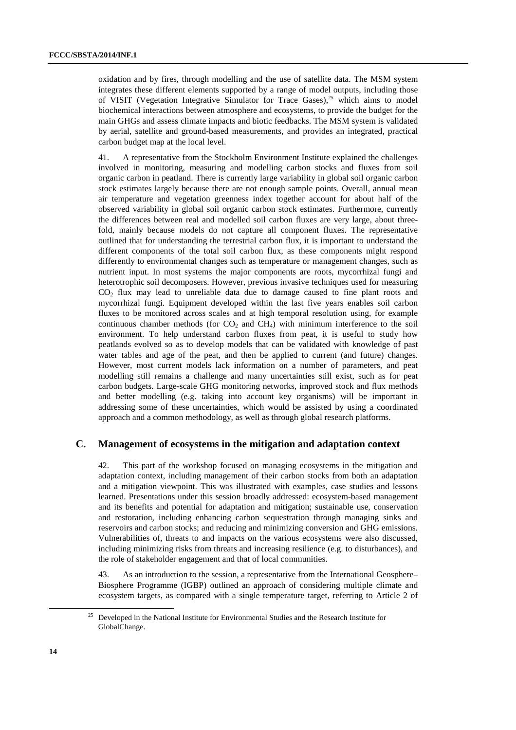oxidation and by fires, through modelling and the use of satellite data. The MSM system integrates these different elements supported by a range of model outputs, including those of VISIT (Vegetation Integrative Simulator for Trace Gases), $25$  which aims to model biochemical interactions between atmosphere and ecosystems, to provide the budget for the main GHGs and assess climate impacts and biotic feedbacks. The MSM system is validated by aerial, satellite and ground-based measurements, and provides an integrated, practical carbon budget map at the local level.

41. A representative from the Stockholm Environment Institute explained the challenges involved in monitoring, measuring and modelling carbon stocks and fluxes from soil organic carbon in peatland. There is currently large variability in global soil organic carbon stock estimates largely because there are not enough sample points. Overall, annual mean air temperature and vegetation greenness index together account for about half of the observed variability in global soil organic carbon stock estimates. Furthermore, currently the differences between real and modelled soil carbon fluxes are very large, about threefold, mainly because models do not capture all component fluxes. The representative outlined that for understanding the terrestrial carbon flux, it is important to understand the different components of the total soil carbon flux, as these components might respond differently to environmental changes such as temperature or management changes, such as nutrient input. In most systems the major components are roots, mycorrhizal fungi and heterotrophic soil decomposers. However, previous invasive techniques used for measuring CO2 flux may lead to unreliable data due to damage caused to fine plant roots and mycorrhizal fungi. Equipment developed within the last five years enables soil carbon fluxes to be monitored across scales and at high temporal resolution using, for example continuous chamber methods (for  $CO<sub>2</sub>$  and  $CH<sub>4</sub>$ ) with minimum interference to the soil environment. To help understand carbon fluxes from peat, it is useful to study how peatlands evolved so as to develop models that can be validated with knowledge of past water tables and age of the peat, and then be applied to current (and future) changes. However, most current models lack information on a number of parameters, and peat modelling still remains a challenge and many uncertainties still exist, such as for peat carbon budgets. Large-scale GHG monitoring networks, improved stock and flux methods and better modelling (e.g. taking into account key organisms) will be important in addressing some of these uncertainties, which would be assisted by using a coordinated approach and a common methodology, as well as through global research platforms.

#### **C. Management of ecosystems in the mitigation and adaptation context**

42. This part of the workshop focused on managing ecosystems in the mitigation and adaptation context, including management of their carbon stocks from both an adaptation and a mitigation viewpoint. This was illustrated with examples, case studies and lessons learned. Presentations under this session broadly addressed: ecosystem-based management and its benefits and potential for adaptation and mitigation; sustainable use, conservation and restoration, including enhancing carbon sequestration through managing sinks and reservoirs and carbon stocks; and reducing and minimizing conversion and GHG emissions. Vulnerabilities of, threats to and impacts on the various ecosystems were also discussed, including minimizing risks from threats and increasing resilience (e.g. to disturbances), and the role of stakeholder engagement and that of local communities.

43. As an introduction to the session, a representative from the International Geosphere– Biosphere Programme (IGBP) outlined an approach of considering multiple climate and ecosystem targets, as compared with a single temperature target, referring to Article 2 of

<sup>&</sup>lt;sup>25</sup> Developed in the National Institute for Environmental Studies and the Research Institute for GlobalChange.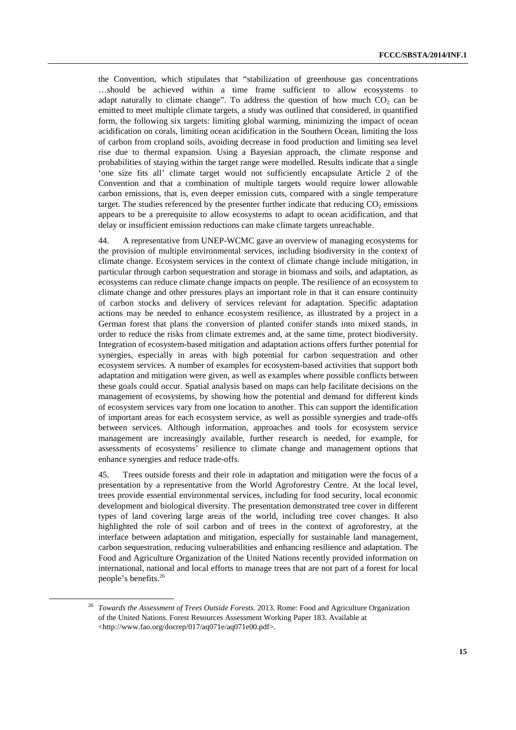the Convention, which stipulates that "stabilization of greenhouse gas concentrations …should be achieved within a time frame sufficient to allow ecosystems to adapt naturally to climate change". To address the question of how much  $CO<sub>2</sub>$  can be emitted to meet multiple climate targets, a study was outlined that considered, in quantified form, the following six targets: limiting global warming, minimizing the impact of ocean acidification on corals, limiting ocean acidification in the Southern Ocean, limiting the loss of carbon from cropland soils, avoiding decrease in food production and limiting sea level rise due to thermal expansion. Using a Bayesian approach, the climate response and probabilities of staying within the target range were modelled. Results indicate that a single 'one size fits all' climate target would not sufficiently encapsulate Article 2 of the Convention and that a combination of multiple targets would require lower allowable carbon emissions, that is, even deeper emission cuts, compared with a single temperature target. The studies referenced by the presenter further indicate that reducing  $CO<sub>2</sub>$  emissions appears to be a prerequisite to allow ecosystems to adapt to ocean acidification, and that delay or insufficient emission reductions can make climate targets unreachable.

44. A representative from UNEP-WCMC gave an overview of managing ecosystems for the provision of multiple environmental services, including biodiversity in the context of climate change. Ecosystem services in the context of climate change include mitigation, in particular through carbon sequestration and storage in biomass and soils, and adaptation, as ecosystems can reduce climate change impacts on people. The resilience of an ecosystem to climate change and other pressures plays an important role in that it can ensure continuity of carbon stocks and delivery of services relevant for adaptation. Specific adaptation actions may be needed to enhance ecosystem resilience, as illustrated by a project in a German forest that plans the conversion of planted conifer stands into mixed stands, in order to reduce the risks from climate extremes and, at the same time, protect biodiversity. Integration of ecosystem-based mitigation and adaptation actions offers further potential for synergies, especially in areas with high potential for carbon sequestration and other ecosystem services. A number of examples for ecosystem-based activities that support both adaptation and mitigation were given, as well as examples where possible conflicts between these goals could occur. Spatial analysis based on maps can help facilitate decisions on the management of ecosystems, by showing how the potential and demand for different kinds of ecosystem services vary from one location to another. This can support the identification of important areas for each ecosystem service, as well as possible synergies and trade-offs between services. Although information, approaches and tools for ecosystem service management are increasingly available, further research is needed, for example, for assessments of ecosystems' resilience to climate change and management options that enhance synergies and reduce trade-offs.

45. Trees outside forests and their role in adaptation and mitigation were the focus of a presentation by a representative from the World Agroforestry Centre. At the local level, trees provide essential environmental services, including for food security, local economic development and biological diversity. The presentation demonstrated tree cover in different types of land covering large areas of the world, including tree cover changes. It also highlighted the role of soil carbon and of trees in the context of agroforestry, at the interface between adaptation and mitigation, especially for sustainable land management, carbon sequestration, reducing vulnerabilities and enhancing resilience and adaptation. The Food and Agriculture Organization of the United Nations recently provided information on international, national and local efforts to manage trees that are not part of a forest for local people's benefits.26

 <sup>26</sup> *Towards the Assessment of Trees Outside Forests*. 2013. Rome: Food and Agriculture Organization of the United Nations. Forest Resources Assessment Working Paper 183. Available at <http://www.fao.org/docrep/017/aq071e/aq071e00.pdf>.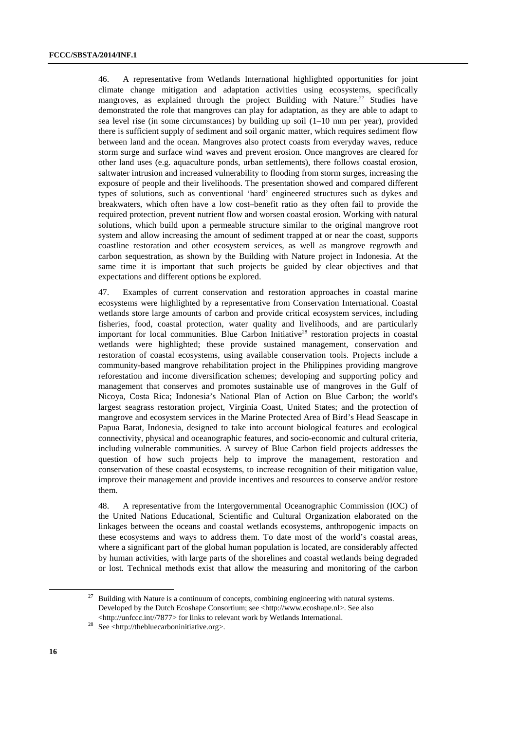46. A representative from Wetlands International highlighted opportunities for joint climate change mitigation and adaptation activities using ecosystems, specifically mangroves, as explained through the project Building with Nature.<sup>27</sup> Studies have demonstrated the role that mangroves can play for adaptation, as they are able to adapt to sea level rise (in some circumstances) by building up soil  $(1-10 \text{ mm per year})$ , provided there is sufficient supply of sediment and soil organic matter, which requires sediment flow between land and the ocean. Mangroves also protect coasts from everyday waves, reduce storm surge and surface wind waves and prevent erosion. Once mangroves are cleared for other land uses (e.g. aquaculture ponds, urban settlements), there follows coastal erosion, saltwater intrusion and increased vulnerability to flooding from storm surges, increasing the exposure of people and their livelihoods. The presentation showed and compared different types of solutions, such as conventional 'hard' engineered structures such as dykes and breakwaters, which often have a low cost–benefit ratio as they often fail to provide the required protection, prevent nutrient flow and worsen coastal erosion. Working with natural solutions, which build upon a permeable structure similar to the original mangrove root system and allow increasing the amount of sediment trapped at or near the coast, supports coastline restoration and other ecosystem services, as well as mangrove regrowth and carbon sequestration, as shown by the Building with Nature project in Indonesia. At the same time it is important that such projects be guided by clear objectives and that expectations and different options be explored.

47. Examples of current conservation and restoration approaches in coastal marine ecosystems were highlighted by a representative from Conservation International. Coastal wetlands store large amounts of carbon and provide critical ecosystem services, including fisheries, food, coastal protection, water quality and livelihoods, and are particularly important for local communities. Blue Carbon Initiative<sup>28</sup> restoration projects in coastal wetlands were highlighted; these provide sustained management, conservation and restoration of coastal ecosystems, using available conservation tools. Projects include a community-based mangrove rehabilitation project in the Philippines providing mangrove reforestation and income diversification schemes; developing and supporting policy and management that conserves and promotes sustainable use of mangroves in the Gulf of Nicoya, Costa Rica; Indonesia's National Plan of Action on Blue Carbon; the world's largest seagrass restoration project, Virginia Coast, United States; and the protection of mangrove and ecosystem services in the Marine Protected Area of Bird's Head Seascape in Papua Barat, Indonesia, designed to take into account biological features and ecological connectivity, physical and oceanographic features, and socio-economic and cultural criteria, including vulnerable communities. A survey of Blue Carbon field projects addresses the question of how such projects help to improve the management, restoration and conservation of these coastal ecosystems, to increase recognition of their mitigation value, improve their management and provide incentives and resources to conserve and/or restore them.

48. A representative from the Intergovernmental Oceanographic Commission (IOC) of the United Nations Educational, Scientific and Cultural Organization elaborated on the linkages between the oceans and coastal wetlands ecosystems, anthropogenic impacts on these ecosystems and ways to address them. To date most of the world's coastal areas, where a significant part of the global human population is located, are considerably affected by human activities, with large parts of the shorelines and coastal wetlands being degraded or lost. Technical methods exist that allow the measuring and monitoring of the carbon

Building with Nature is a continuum of concepts, combining engineering with natural systems. Developed by the Dutch Ecoshape Consortium; see <http://www.ecoshape.nl>. See also <http://unfccc.int//7877> for links to relevant work by Wetlands International. 28 See <http://thebluecarboninitiative.org>.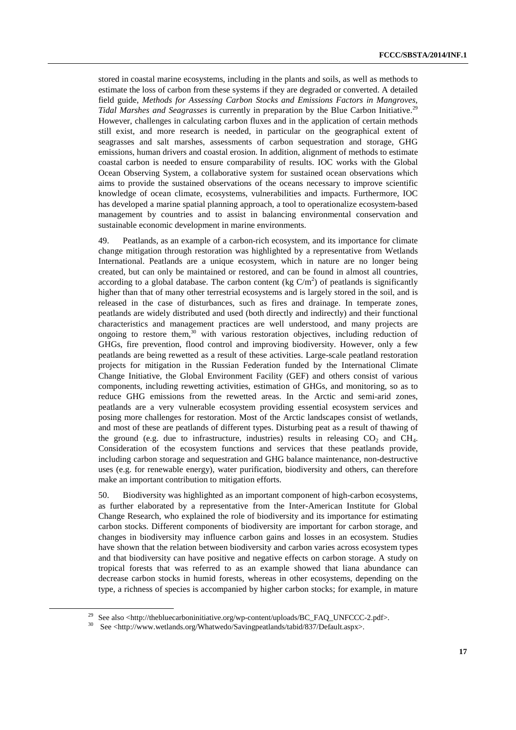stored in coastal marine ecosystems, including in the plants and soils, as well as methods to estimate the loss of carbon from these systems if they are degraded or converted. A detailed field guide, *Methods for Assessing Carbon Stocks and Emissions Factors in Mangroves, Tidal Marshes and Seagrasses* is currently in preparation by the Blue Carbon Initiative.<sup>29</sup> However, challenges in calculating carbon fluxes and in the application of certain methods still exist, and more research is needed, in particular on the geographical extent of seagrasses and salt marshes, assessments of carbon sequestration and storage, GHG emissions, human drivers and coastal erosion. In addition, alignment of methods to estimate coastal carbon is needed to ensure comparability of results. IOC works with the Global Ocean Observing System, a collaborative system for sustained ocean observations which aims to provide the sustained observations of the oceans necessary to improve scientific knowledge of ocean climate, ecosystems, vulnerabilities and impacts. Furthermore, IOC has developed a marine spatial planning approach, a tool to operationalize ecosystem-based management by countries and to assist in balancing environmental conservation and sustainable economic development in marine environments.

49. Peatlands, as an example of a carbon-rich ecosystem, and its importance for climate change mitigation through restoration was highlighted by a representative from Wetlands International. Peatlands are a unique ecosystem, which in nature are no longer being created, but can only be maintained or restored, and can be found in almost all countries, according to a global database. The carbon content (kg  $C/m<sup>2</sup>$ ) of peatlands is significantly higher than that of many other terrestrial ecosystems and is largely stored in the soil, and is released in the case of disturbances, such as fires and drainage. In temperate zones, peatlands are widely distributed and used (both directly and indirectly) and their functional characteristics and management practices are well understood, and many projects are ongoing to restore them, $30$  with various restoration objectives, including reduction of GHGs, fire prevention, flood control and improving biodiversity. However, only a few peatlands are being rewetted as a result of these activities. Large-scale peatland restoration projects for mitigation in the Russian Federation funded by the International Climate Change Initiative, the Global Environment Facility (GEF) and others consist of various components, including rewetting activities, estimation of GHGs, and monitoring, so as to reduce GHG emissions from the rewetted areas. In the Arctic and semi-arid zones, peatlands are a very vulnerable ecosystem providing essential ecosystem services and posing more challenges for restoration. Most of the Arctic landscapes consist of wetlands, and most of these are peatlands of different types. Disturbing peat as a result of thawing of the ground (e.g. due to infrastructure, industries) results in releasing  $CO<sub>2</sub>$  and  $CH<sub>4</sub>$ . Consideration of the ecosystem functions and services that these peatlands provide, including carbon storage and sequestration and GHG balance maintenance, non-destructive uses (e.g. for renewable energy), water purification, biodiversity and others, can therefore make an important contribution to mitigation efforts.

50. Biodiversity was highlighted as an important component of high-carbon ecosystems, as further elaborated by a representative from the Inter-American Institute for Global Change Research, who explained the role of biodiversity and its importance for estimating carbon stocks. Different components of biodiversity are important for carbon storage, and changes in biodiversity may influence carbon gains and losses in an ecosystem. Studies have shown that the relation between biodiversity and carbon varies across ecosystem types and that biodiversity can have positive and negative effects on carbon storage. A study on tropical forests that was referred to as an example showed that liana abundance can decrease carbon stocks in humid forests, whereas in other ecosystems, depending on the type, a richness of species is accompanied by higher carbon stocks; for example, in mature

<sup>&</sup>lt;sup>29</sup> See also <http://thebluecarboninitiative.org/wp-content/uploads/BC\_FAQ\_UNFCCC-2.pdf>.

<sup>30</sup> See <http://www.wetlands.org/Whatwedo/Savingpeatlands/tabid/837/Default.aspx>.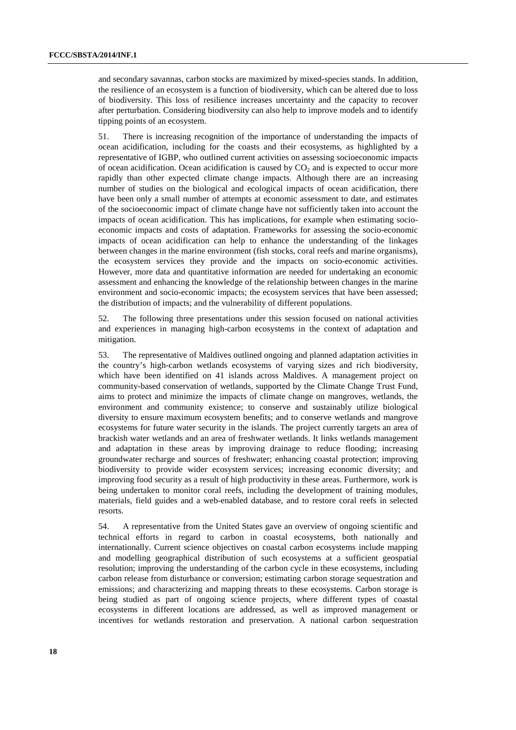and secondary savannas, carbon stocks are maximized by mixed-species stands. In addition, the resilience of an ecosystem is a function of biodiversity, which can be altered due to loss of biodiversity. This loss of resilience increases uncertainty and the capacity to recover after perturbation. Considering biodiversity can also help to improve models and to identify tipping points of an ecosystem.

51. There is increasing recognition of the importance of understanding the impacts of ocean acidification, including for the coasts and their ecosystems, as highlighted by a representative of IGBP, who outlined current activities on assessing socioeconomic impacts of ocean acidification. Ocean acidification is caused by  $CO<sub>2</sub>$  and is expected to occur more rapidly than other expected climate change impacts. Although there are an increasing number of studies on the biological and ecological impacts of ocean acidification, there have been only a small number of attempts at economic assessment to date, and estimates of the socioeconomic impact of climate change have not sufficiently taken into account the impacts of ocean acidification. This has implications, for example when estimating socioeconomic impacts and costs of adaptation. Frameworks for assessing the socio-economic impacts of ocean acidification can help to enhance the understanding of the linkages between changes in the marine environment (fish stocks, coral reefs and marine organisms), the ecosystem services they provide and the impacts on socio-economic activities. However, more data and quantitative information are needed for undertaking an economic assessment and enhancing the knowledge of the relationship between changes in the marine environment and socio-economic impacts; the ecosystem services that have been assessed; the distribution of impacts; and the vulnerability of different populations.

52. The following three presentations under this session focused on national activities and experiences in managing high-carbon ecosystems in the context of adaptation and mitigation.

53. The representative of Maldives outlined ongoing and planned adaptation activities in the country's high-carbon wetlands ecosystems of varying sizes and rich biodiversity, which have been identified on 41 islands across Maldives. A management project on community-based conservation of wetlands, supported by the Climate Change Trust Fund, aims to protect and minimize the impacts of climate change on mangroves, wetlands, the environment and community existence; to conserve and sustainably utilize biological diversity to ensure maximum ecosystem benefits; and to conserve wetlands and mangrove ecosystems for future water security in the islands. The project currently targets an area of brackish water wetlands and an area of freshwater wetlands. It links wetlands management and adaptation in these areas by improving drainage to reduce flooding; increasing groundwater recharge and sources of freshwater; enhancing coastal protection; improving biodiversity to provide wider ecosystem services; increasing economic diversity; and improving food security as a result of high productivity in these areas. Furthermore, work is being undertaken to monitor coral reefs, including the development of training modules, materials, field guides and a web-enabled database, and to restore coral reefs in selected resorts.

54. A representative from the United States gave an overview of ongoing scientific and technical efforts in regard to carbon in coastal ecosystems, both nationally and internationally. Current science objectives on coastal carbon ecosystems include mapping and modelling geographical distribution of such ecosystems at a sufficient geospatial resolution; improving the understanding of the carbon cycle in these ecosystems, including carbon release from disturbance or conversion; estimating carbon storage sequestration and emissions; and characterizing and mapping threats to these ecosystems. Carbon storage is being studied as part of ongoing science projects, where different types of coastal ecosystems in different locations are addressed, as well as improved management or incentives for wetlands restoration and preservation. A national carbon sequestration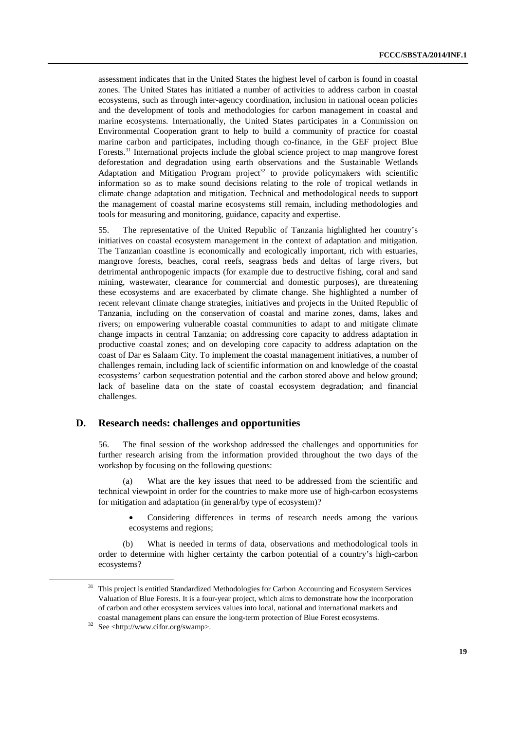assessment indicates that in the United States the highest level of carbon is found in coastal zones. The United States has initiated a number of activities to address carbon in coastal ecosystems, such as through inter-agency coordination, inclusion in national ocean policies and the development of tools and methodologies for carbon management in coastal and marine ecosystems. Internationally, the United States participates in a Commission on Environmental Cooperation grant to help to build a community of practice for coastal marine carbon and participates, including though co-finance, in the GEF project Blue Forests.<sup>31</sup> International projects include the global science project to map mangrove forest deforestation and degradation using earth observations and the Sustainable Wetlands Adaptation and Mitigation Program project<sup>32</sup> to provide policymakers with scientific information so as to make sound decisions relating to the role of tropical wetlands in climate change adaptation and mitigation. Technical and methodological needs to support the management of coastal marine ecosystems still remain, including methodologies and tools for measuring and monitoring, guidance, capacity and expertise.

55. The representative of the United Republic of Tanzania highlighted her country's initiatives on coastal ecosystem management in the context of adaptation and mitigation. The Tanzanian coastline is economically and ecologically important, rich with estuaries, mangrove forests, beaches, coral reefs, seagrass beds and deltas of large rivers, but detrimental anthropogenic impacts (for example due to destructive fishing, coral and sand mining, wastewater, clearance for commercial and domestic purposes), are threatening these ecosystems and are exacerbated by climate change. She highlighted a number of recent relevant climate change strategies, initiatives and projects in the United Republic of Tanzania, including on the conservation of coastal and marine zones, dams, lakes and rivers; on empowering vulnerable coastal communities to adapt to and mitigate climate change impacts in central Tanzania; on addressing core capacity to address adaptation in productive coastal zones; and on developing core capacity to address adaptation on the coast of Dar es Salaam City. To implement the coastal management initiatives, a number of challenges remain, including lack of scientific information on and knowledge of the coastal ecosystems' carbon sequestration potential and the carbon stored above and below ground; lack of baseline data on the state of coastal ecosystem degradation; and financial challenges.

#### **D. Research needs: challenges and opportunities**

56. The final session of the workshop addressed the challenges and opportunities for further research arising from the information provided throughout the two days of the workshop by focusing on the following questions:

(a) What are the key issues that need to be addressed from the scientific and technical viewpoint in order for the countries to make more use of high-carbon ecosystems for mitigation and adaptation (in general/by type of ecosystem)?

• Considering differences in terms of research needs among the various ecosystems and regions;

(b) What is needed in terms of data, observations and methodological tools in order to determine with higher certainty the carbon potential of a country's high-carbon ecosystems?

<sup>&</sup>lt;sup>31</sup> This project is entitled Standardized Methodologies for Carbon Accounting and Ecosystem Services Valuation of Blue Forests. It is a four-year project, which aims to demonstrate how the incorporation of carbon and other ecosystem services values into local, national and international markets and coastal management plans can ensure the long-term protection of Blue Forest ecosystems. 32 See <http://www.cifor.org/swamp>.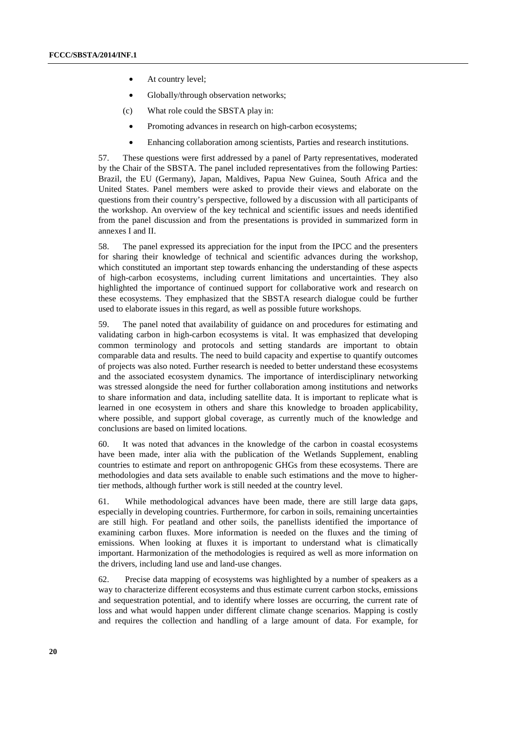- At country level;
- Globally/through observation networks;
- (c) What role could the SBSTA play in:
	- Promoting advances in research on high-carbon ecosystems;
	- Enhancing collaboration among scientists, Parties and research institutions.

57. These questions were first addressed by a panel of Party representatives, moderated by the Chair of the SBSTA. The panel included representatives from the following Parties: Brazil, the EU (Germany), Japan, Maldives, Papua New Guinea, South Africa and the United States. Panel members were asked to provide their views and elaborate on the questions from their country's perspective, followed by a discussion with all participants of the workshop. An overview of the key technical and scientific issues and needs identified from the panel discussion and from the presentations is provided in summarized form in annexes I and II.

58. The panel expressed its appreciation for the input from the IPCC and the presenters for sharing their knowledge of technical and scientific advances during the workshop, which constituted an important step towards enhancing the understanding of these aspects of high-carbon ecosystems, including current limitations and uncertainties. They also highlighted the importance of continued support for collaborative work and research on these ecosystems. They emphasized that the SBSTA research dialogue could be further used to elaborate issues in this regard, as well as possible future workshops.

59. The panel noted that availability of guidance on and procedures for estimating and validating carbon in high-carbon ecosystems is vital. It was emphasized that developing common terminology and protocols and setting standards are important to obtain comparable data and results. The need to build capacity and expertise to quantify outcomes of projects was also noted. Further research is needed to better understand these ecosystems and the associated ecosystem dynamics. The importance of interdisciplinary networking was stressed alongside the need for further collaboration among institutions and networks to share information and data, including satellite data. It is important to replicate what is learned in one ecosystem in others and share this knowledge to broaden applicability, where possible, and support global coverage, as currently much of the knowledge and conclusions are based on limited locations.

60. It was noted that advances in the knowledge of the carbon in coastal ecosystems have been made, inter alia with the publication of the Wetlands Supplement, enabling countries to estimate and report on anthropogenic GHGs from these ecosystems. There are methodologies and data sets available to enable such estimations and the move to highertier methods, although further work is still needed at the country level.

61. While methodological advances have been made, there are still large data gaps, especially in developing countries. Furthermore, for carbon in soils, remaining uncertainties are still high. For peatland and other soils, the panellists identified the importance of examining carbon fluxes. More information is needed on the fluxes and the timing of emissions. When looking at fluxes it is important to understand what is climatically important. Harmonization of the methodologies is required as well as more information on the drivers, including land use and land-use changes.

62. Precise data mapping of ecosystems was highlighted by a number of speakers as a way to characterize different ecosystems and thus estimate current carbon stocks, emissions and sequestration potential, and to identify where losses are occurring, the current rate of loss and what would happen under different climate change scenarios. Mapping is costly and requires the collection and handling of a large amount of data. For example, for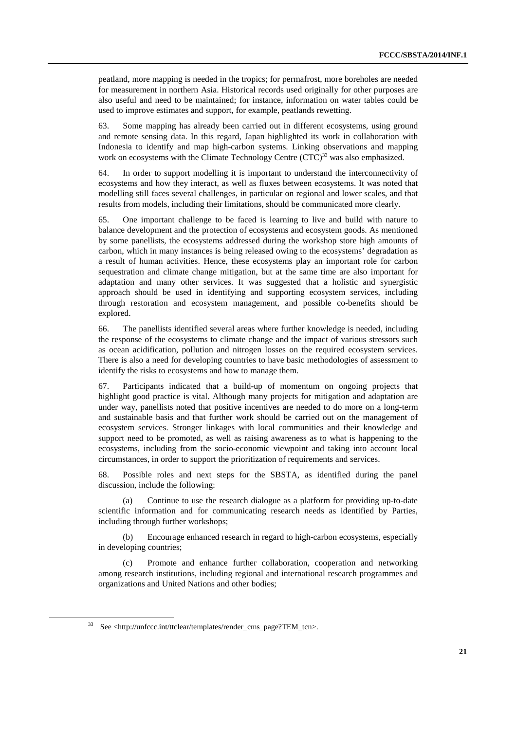peatland, more mapping is needed in the tropics; for permafrost, more boreholes are needed for measurement in northern Asia. Historical records used originally for other purposes are also useful and need to be maintained; for instance, information on water tables could be used to improve estimates and support, for example, peatlands rewetting.

63. Some mapping has already been carried out in different ecosystems, using ground and remote sensing data. In this regard, Japan highlighted its work in collaboration with Indonesia to identify and map high-carbon systems. Linking observations and mapping work on ecosystems with the Climate Technology Centre  $(TTC)^{33}$  was also emphasized.

64. In order to support modelling it is important to understand the interconnectivity of ecosystems and how they interact, as well as fluxes between ecosystems. It was noted that modelling still faces several challenges, in particular on regional and lower scales, and that results from models, including their limitations, should be communicated more clearly.

65. One important challenge to be faced is learning to live and build with nature to balance development and the protection of ecosystems and ecosystem goods. As mentioned by some panellists, the ecosystems addressed during the workshop store high amounts of carbon, which in many instances is being released owing to the ecosystems' degradation as a result of human activities. Hence, these ecosystems play an important role for carbon sequestration and climate change mitigation, but at the same time are also important for adaptation and many other services. It was suggested that a holistic and synergistic approach should be used in identifying and supporting ecosystem services, including through restoration and ecosystem management, and possible co-benefits should be explored.

66. The panellists identified several areas where further knowledge is needed, including the response of the ecosystems to climate change and the impact of various stressors such as ocean acidification, pollution and nitrogen losses on the required ecosystem services. There is also a need for developing countries to have basic methodologies of assessment to identify the risks to ecosystems and how to manage them.

67. Participants indicated that a build-up of momentum on ongoing projects that highlight good practice is vital. Although many projects for mitigation and adaptation are under way, panellists noted that positive incentives are needed to do more on a long-term and sustainable basis and that further work should be carried out on the management of ecosystem services. Stronger linkages with local communities and their knowledge and support need to be promoted, as well as raising awareness as to what is happening to the ecosystems, including from the socio-economic viewpoint and taking into account local circumstances, in order to support the prioritization of requirements and services.

68. Possible roles and next steps for the SBSTA, as identified during the panel discussion, include the following:

Continue to use the research dialogue as a platform for providing up-to-date scientific information and for communicating research needs as identified by Parties, including through further workshops;

(b) Encourage enhanced research in regard to high-carbon ecosystems, especially in developing countries;

Promote and enhance further collaboration, cooperation and networking among research institutions, including regional and international research programmes and organizations and United Nations and other bodies;

 <sup>33</sup> See <http://unfccc.int/ttclear/templates/render\_cms\_page?TEM\_tcn>.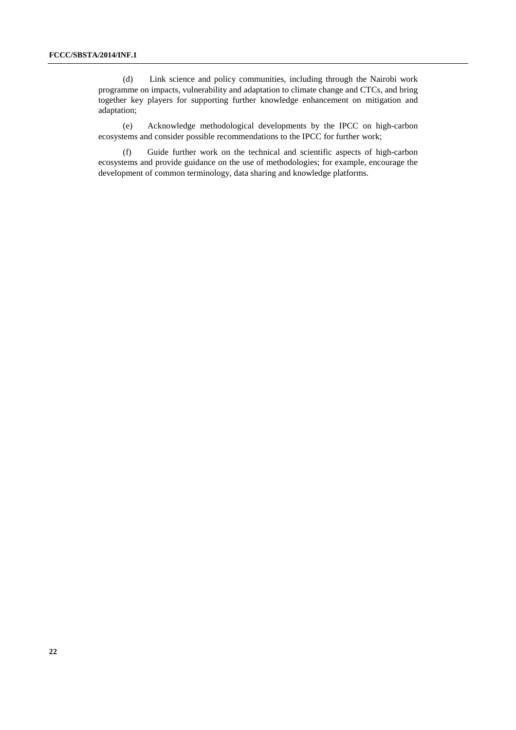(d) Link science and policy communities, including through the Nairobi work programme on impacts, vulnerability and adaptation to climate change and CTCs, and bring together key players for supporting further knowledge enhancement on mitigation and adaptation;

(e) Acknowledge methodological developments by the IPCC on high-carbon ecosystems and consider possible recommendations to the IPCC for further work;

(f) Guide further work on the technical and scientific aspects of high-carbon ecosystems and provide guidance on the use of methodologies; for example, encourage the development of common terminology, data sharing and knowledge platforms.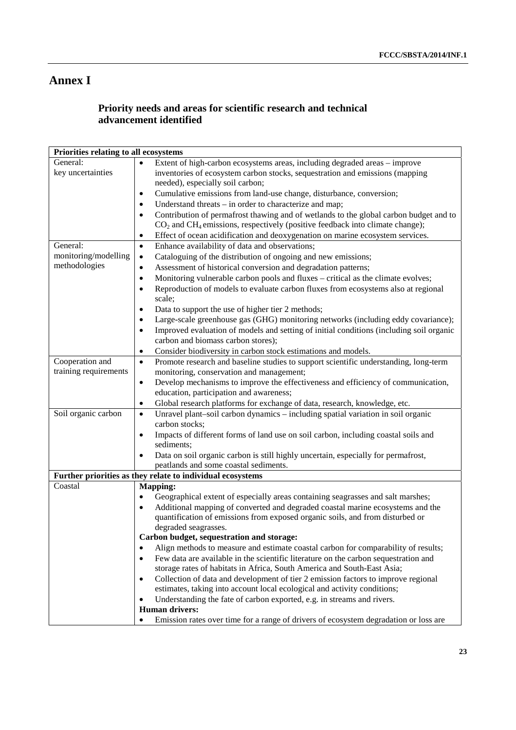# **Annex I**

# **Priority needs and areas for scientific research and technical advancement identified**

| Priorities relating to all ecosystems |                                                                                                      |  |  |
|---------------------------------------|------------------------------------------------------------------------------------------------------|--|--|
| General:                              | Extent of high-carbon ecosystems areas, including degraded areas – improve                           |  |  |
| key uncertainties                     | inventories of ecosystem carbon stocks, sequestration and emissions (mapping                         |  |  |
|                                       | needed), especially soil carbon;                                                                     |  |  |
|                                       | Cumulative emissions from land-use change, disturbance, conversion;<br>٠                             |  |  |
|                                       | Understand threats – in order to characterize and map;                                               |  |  |
|                                       | Contribution of permafrost thawing and of wetlands to the global carbon budget and to<br>$\bullet$   |  |  |
|                                       | $CO2$ and CH <sub>4</sub> emissions, respectively (positive feedback into climate change);           |  |  |
|                                       | Effect of ocean acidification and deoxygenation on marine ecosystem services.<br>٠                   |  |  |
| General:                              | Enhance availability of data and observations;<br>$\bullet$                                          |  |  |
| monitoring/modelling                  | Cataloguing of the distribution of ongoing and new emissions;<br>٠                                   |  |  |
| methodologies                         | Assessment of historical conversion and degradation patterns;<br>٠                                   |  |  |
|                                       | Monitoring vulnerable carbon pools and fluxes - critical as the climate evolves;<br>$\bullet$        |  |  |
|                                       | Reproduction of models to evaluate carbon fluxes from ecosystems also at regional<br>$\bullet$       |  |  |
|                                       | scale;                                                                                               |  |  |
|                                       | Data to support the use of higher tier 2 methods;                                                    |  |  |
|                                       | Large-scale greenhouse gas (GHG) monitoring networks (including eddy covariance);                    |  |  |
|                                       | Improved evaluation of models and setting of initial conditions (including soil organic<br>$\bullet$ |  |  |
|                                       | carbon and biomass carbon stores);                                                                   |  |  |
|                                       | Consider biodiversity in carbon stock estimations and models.<br>٠                                   |  |  |
| Cooperation and                       | Promote research and baseline studies to support scientific understanding, long-term<br>$\bullet$    |  |  |
| training requirements                 | monitoring, conservation and management;                                                             |  |  |
|                                       | Develop mechanisms to improve the effectiveness and efficiency of communication,<br>٠                |  |  |
|                                       | education, participation and awareness;                                                              |  |  |
|                                       | Global research platforms for exchange of data, research, knowledge, etc.<br>٠                       |  |  |
| Soil organic carbon                   | Unravel plant-soil carbon dynamics - including spatial variation in soil organic<br>$\bullet$        |  |  |
|                                       | carbon stocks;                                                                                       |  |  |
|                                       | Impacts of different forms of land use on soil carbon, including coastal soils and<br>٠              |  |  |
|                                       | sediments;                                                                                           |  |  |
|                                       | Data on soil organic carbon is still highly uncertain, especially for permafrost,                    |  |  |
|                                       | peatlands and some coastal sediments.                                                                |  |  |
|                                       | Further priorities as they relate to individual ecosystems                                           |  |  |
| Coastal                               | <b>Mapping:</b>                                                                                      |  |  |
|                                       | Geographical extent of especially areas containing seagrasses and salt marshes;<br>٠                 |  |  |
|                                       | Additional mapping of converted and degraded coastal marine ecosystems and the<br>$\bullet$          |  |  |
|                                       | quantification of emissions from exposed organic soils, and from disturbed or                        |  |  |
|                                       | degraded seagrasses.<br>Carbon budget, sequestration and storage:                                    |  |  |
|                                       | Align methods to measure and estimate coastal carbon for comparability of results;                   |  |  |
|                                       | Few data are available in the scientific literature on the carbon sequestration and                  |  |  |
|                                       | storage rates of habitats in Africa, South America and South-East Asia;                              |  |  |
|                                       | Collection of data and development of tier 2 emission factors to improve regional<br>٠               |  |  |
|                                       | estimates, taking into account local ecological and activity conditions;                             |  |  |
|                                       | Understanding the fate of carbon exported, e.g. in streams and rivers.                               |  |  |
|                                       | <b>Human drivers:</b>                                                                                |  |  |
|                                       | Emission rates over time for a range of drivers of ecosystem degradation or loss are                 |  |  |
|                                       |                                                                                                      |  |  |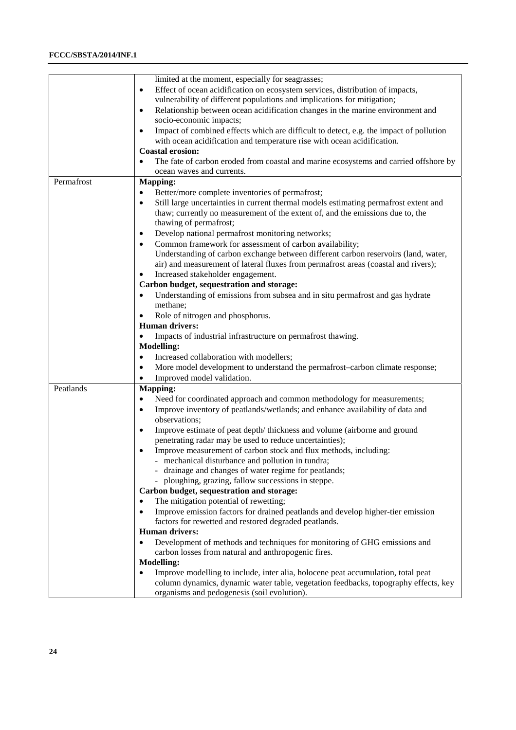### **FCCC/SBSTA/2014/INF.1**

|            | limited at the moment, especially for seagrasses;                                                   |
|------------|-----------------------------------------------------------------------------------------------------|
|            | Effect of ocean acidification on ecosystem services, distribution of impacts,<br>$\bullet$          |
|            | vulnerability of different populations and implications for mitigation;                             |
|            | Relationship between ocean acidification changes in the marine environment and<br>$\bullet$         |
|            | socio-economic impacts;                                                                             |
|            | Impact of combined effects which are difficult to detect, e.g. the impact of pollution<br>$\bullet$ |
|            | with ocean acidification and temperature rise with ocean acidification.                             |
|            | <b>Coastal erosion:</b>                                                                             |
|            | The fate of carbon eroded from coastal and marine ecosystems and carried offshore by                |
|            | ocean waves and currents.                                                                           |
| Permafrost | <b>Mapping:</b>                                                                                     |
|            | Better/more complete inventories of permafrost;<br>$\bullet$                                        |
|            | Still large uncertainties in current thermal models estimating permafrost extent and<br>$\bullet$   |
|            | thaw; currently no measurement of the extent of, and the emissions due to, the                      |
|            | thawing of permafrost;                                                                              |
|            | Develop national permafrost monitoring networks;<br>$\bullet$                                       |
|            | Common framework for assessment of carbon availability;<br>٠                                        |
|            | Understanding of carbon exchange between different carbon reservoirs (land, water,                  |
|            | air) and measurement of lateral fluxes from permafrost areas (coastal and rivers);                  |
|            | Increased stakeholder engagement.                                                                   |
|            | Carbon budget, sequestration and storage:                                                           |
|            | Understanding of emissions from subsea and in situ permafrost and gas hydrate                       |
|            | methane;                                                                                            |
|            | Role of nitrogen and phosphorus.                                                                    |
|            | <b>Human drivers:</b>                                                                               |
|            | Impacts of industrial infrastructure on permafrost thawing.                                         |
|            | <b>Modelling:</b>                                                                                   |
|            |                                                                                                     |
|            | Increased collaboration with modellers;<br>$\bullet$                                                |
|            | More model development to understand the permafrost-carbon climate response;<br>$\bullet$           |
|            | Improved model validation.                                                                          |
| Peatlands  | <b>Mapping:</b>                                                                                     |
|            | Need for coordinated approach and common methodology for measurements;<br>٠                         |
|            | Improve inventory of peatlands/wetlands; and enhance availability of data and<br>$\bullet$          |
|            | observations;                                                                                       |
|            | Improve estimate of peat depth/thickness and volume (airborne and ground<br>$\bullet$               |
|            | penetrating radar may be used to reduce uncertainties);                                             |
|            | Improve measurement of carbon stock and flux methods, including:<br>$\bullet$                       |
|            | mechanical disturbance and pollution in tundra;                                                     |
|            | drainage and changes of water regime for peatlands;                                                 |
|            | - ploughing, grazing, fallow successions in steppe.                                                 |
|            | Carbon budget, sequestration and storage:                                                           |
|            | The mitigation potential of rewetting;<br>$\bullet$                                                 |
|            | Improve emission factors for drained peatlands and develop higher-tier emission<br>$\bullet$        |
|            | factors for rewetted and restored degraded peatlands.                                               |
|            | <b>Human drivers:</b>                                                                               |
|            | Development of methods and techniques for monitoring of GHG emissions and<br>$\bullet$              |
|            | carbon losses from natural and anthropogenic fires.                                                 |
|            | <b>Modelling:</b>                                                                                   |
|            | Improve modelling to include, inter alia, holocene peat accumulation, total peat<br>$\bullet$       |
|            | column dynamics, dynamic water table, vegetation feedbacks, topography effects, key                 |
|            | organisms and pedogenesis (soil evolution).                                                         |